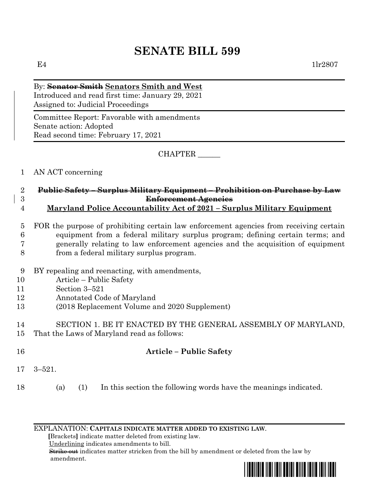# **SENATE BILL 599**

E4  $1\text{lr}2807$ 

By: **Senator Smith Senators Smith and West** Introduced and read first time: January 29, 2021 Assigned to: Judicial Proceedings

Committee Report: Favorable with amendments Senate action: Adopted Read second time: February 17, 2021

CHAPTER \_\_\_\_\_\_

### 1 AN ACT concerning

- 2 **Public Safety – Surplus Military Equipment – Prohibition on Purchase by Law**  3 **Enforcement Agencies**
- 4 **Maryland Police Accountability Act of 2021 – Surplus Military Equipment**

## 5 FOR the purpose of prohibiting certain law enforcement agencies from receiving certain 6 equipment from a federal military surplus program; defining certain terms; and 7 generally relating to law enforcement agencies and the acquisition of equipment

- 8 from a federal military surplus program.
- 9 BY repealing and reenacting, with amendments,
- 10 Article Public Safety
- 11 Section 3–521
- 12 Annotated Code of Maryland
- 13 (2018 Replacement Volume and 2020 Supplement)
- 14 SECTION 1. BE IT ENACTED BY THE GENERAL ASSEMBLY OF MARYLAND, 15 That the Laws of Maryland read as follows:
- 16 **Article – Public Safety**
- 17 3–521.
- 18 (a) (1) In this section the following words have the meanings indicated.

EXPLANATION: **CAPITALS INDICATE MATTER ADDED TO EXISTING LAW**.

 **[**Brackets**]** indicate matter deleted from existing law.

Underlining indicates amendments to bill.

 Strike out indicates matter stricken from the bill by amendment or deleted from the law by amendment.